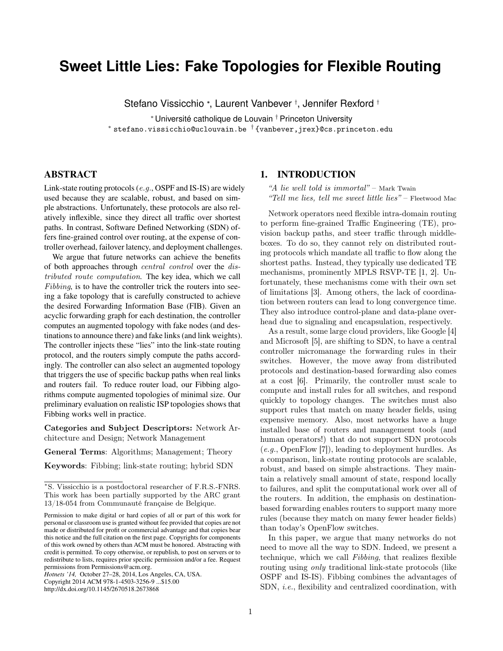# **Sweet Little Lies: Fake Topologies for Flexible Routing**

Stefano Vissicchio <sup>∗</sup>, Laurent Vanbever † , Jennifer Rexford †

<sup>∗</sup> Université catholique de Louvain † Princeton University <sup>∗</sup> stefano.vissicchio@uclouvain.be † {vanbever,jrex}@cs.princeton.edu

## ABSTRACT

Link-state routing protocols (e.g., OSPF and IS-IS) are widely used because they are scalable, robust, and based on simple abstractions. Unfortunately, these protocols are also relatively inflexible, since they direct all traffic over shortest paths. In contrast, Software Defined Networking (SDN) offers fine-grained control over routing, at the expense of controller overhead, failover latency, and deployment challenges.

We argue that future networks can achieve the benefits of both approaches through central control over the distributed route computation. The key idea, which we call Fibbing, is to have the controller trick the routers into seeing a fake topology that is carefully constructed to achieve the desired Forwarding Information Base (FIB). Given an acyclic forwarding graph for each destination, the controller computes an augmented topology with fake nodes (and destinations to announce there) and fake links (and link weights). The controller injects these "lies" into the link-state routing protocol, and the routers simply compute the paths accordingly. The controller can also select an augmented topology that triggers the use of specific backup paths when real links and routers fail. To reduce router load, our Fibbing algorithms compute augmented topologies of minimal size. Our preliminary evaluation on realistic ISP topologies shows that Fibbing works well in practice.

Categories and Subject Descriptors: Network Architecture and Design; Network Management

General Terms: Algorithms; Management; Theory

Keywords: Fibbing; link-state routing; hybrid SDN

*Hotnets '14,* October 27–28, 2014, Los Angeles, CA, USA. Copyright 2014 ACM 978-1-4503-3256-9 ...\$15.00

http://dx.doi.org/10.1145/2670518.2673868

## 1. INTRODUCTION

"A lie well told is immortal" – Mark Twain "Tell me lies, tell me sweet little lies" – Fleetwood Mac

Network operators need flexible intra-domain routing to perform fine-grained Traffic Engineering (TE), provision backup paths, and steer traffic through middleboxes. To do so, they cannot rely on distributed routing protocols which mandate all traffic to flow along the shortest paths. Instead, they typically use dedicated TE mechanisms, prominently MPLS RSVP-TE [1, 2]. Unfortunately, these mechanisms come with their own set of limitations [3]. Among others, the lack of coordination between routers can lead to long convergence time. They also introduce control-plane and data-plane overhead due to signaling and encapsulation, respectively.

As a result, some large cloud providers, like Google [4] and Microsoft [5], are shifting to SDN, to have a central controller micromanage the forwarding rules in their switches. However, the move away from distributed protocols and destination-based forwarding also comes at a cost [6]. Primarily, the controller must scale to compute and install rules for all switches, and respond quickly to topology changes. The switches must also support rules that match on many header fields, using expensive memory. Also, most networks have a huge installed base of routers and management tools (and human operators!) that do not support SDN protocols (e.g., OpenFlow [7]), leading to deployment hurdles. As a comparison, link-state routing protocols are scalable, robust, and based on simple abstractions. They maintain a relatively small amount of state, respond locally to failures, and split the computational work over all of the routers. In addition, the emphasis on destinationbased forwarding enables routers to support many more rules (because they match on many fewer header fields) than today's OpenFlow switches.

In this paper, we argue that many networks do not need to move all the way to SDN. Indeed, we present a technique, which we call Fibbing, that realizes flexible routing using only traditional link-state protocols (like OSPF and IS-IS). Fibbing combines the advantages of SDN, i.e., flexibility and centralized coordination, with

<sup>∗</sup>S. Vissicchio is a postdoctoral researcher of F.R.S.-FNRS. This work has been partially supported by the ARC grant 13/18-054 from Communauté française de Belgique.

Permission to make digital or hard copies of all or part of this work for personal or classroom use is granted without fee provided that copies are not made or distributed for profit or commercial advantage and that copies bear this notice and the full citation on the first page. Copyrights for components of this work owned by others than ACM must be honored. Abstracting with credit is permitted. To copy otherwise, or republish, to post on servers or to redistribute to lists, requires prior specific permission and/or a fee. Request permissions from Permissions@acm.org.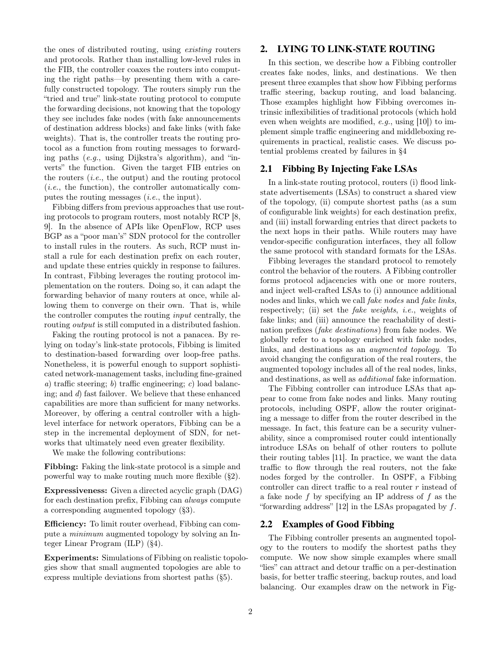the ones of distributed routing, using existing routers and protocols. Rather than installing low-level rules in the FIB, the controller coaxes the routers into computing the right paths—by presenting them with a carefully constructed topology. The routers simply run the "tried and true" link-state routing protocol to compute the forwarding decisions, not knowing that the topology they see includes fake nodes (with fake announcements of destination address blocks) and fake links (with fake weights). That is, the controller treats the routing protocol as a function from routing messages to forwarding paths (e.g., using Dijkstra's algorithm), and "inverts" the function. Given the target FIB entries on the routers  $(i.e., the output)$  and the routing protocol (i.e., the function), the controller automatically computes the routing messages (i.e., the input).

Fibbing differs from previous approaches that use routing protocols to program routers, most notably RCP [8, 9]. In the absence of APIs like OpenFlow, RCP uses BGP as a "poor man's" SDN protocol for the controller to install rules in the routers. As such, RCP must install a rule for each destination prefix on each router, and update these entries quickly in response to failures. In contrast, Fibbing leverages the routing protocol implementation on the routers. Doing so, it can adapt the forwarding behavior of many routers at once, while allowing them to converge on their own. That is, while the controller computes the routing input centrally, the routing *output* is still computed in a distributed fashion.

Faking the routing protocol is not a panacea. By relying on today's link-state protocols, Fibbing is limited to destination-based forwarding over loop-free paths. Nonetheless, it is powerful enough to support sophisticated network-management tasks, including fine-grained a) traffic steering; b) traffic engineering; c) load balancing; and d) fast failover. We believe that these enhanced capabilities are more than sufficient for many networks. Moreover, by offering a central controller with a highlevel interface for network operators, Fibbing can be a step in the incremental deployment of SDN, for networks that ultimately need even greater flexibility.

We make the following contributions:

Fibbing: Faking the link-state protocol is a simple and powerful way to make routing much more flexible (§2).

Expressiveness: Given a directed acyclic graph (DAG) for each destination prefix, Fibbing can always compute a corresponding augmented topology (§3).

Efficiency: To limit router overhead, Fibbing can compute a minimum augmented topology by solving an Integer Linear Program (ILP) (§4).

Experiments: Simulations of Fibbing on realistic topologies show that small augmented topologies are able to express multiple deviations from shortest paths (§5).

# 2. LYING TO LINK-STATE ROUTING

In this section, we describe how a Fibbing controller creates fake nodes, links, and destinations. We then present three examples that show how Fibbing performs traffic steering, backup routing, and load balancing. Those examples highlight how Fibbing overcomes intrinsic inflexibilities of traditional protocols (which hold even when weights are modified,  $e.g.,$  using [10]) to implement simple traffic engineering and middleboxing requirements in practical, realistic cases. We discuss potential problems created by failures in §4

### 2.1 Fibbing By Injecting Fake LSAs

In a link-state routing protocol, routers (i) flood linkstate advertisements (LSAs) to construct a shared view of the topology, (ii) compute shortest paths (as a sum of configurable link weights) for each destination prefix, and (iii) install forwarding entries that direct packets to the next hops in their paths. While routers may have vendor-specific configuration interfaces, they all follow the same protocol with standard formats for the LSAs.

Fibbing leverages the standard protocol to remotely control the behavior of the routers. A Fibbing controller forms protocol adjacencies with one or more routers, and inject well-crafted LSAs to (i) announce additional nodes and links, which we call fake nodes and fake links, respectively; (ii) set the fake weights, i.e., weights of fake links; and (iii) announce the reachability of destination prefixes (fake destinations) from fake nodes. We globally refer to a topology enriched with fake nodes, links, and destinations as an augmented topology. To avoid changing the configuration of the real routers, the augmented topology includes all of the real nodes, links, and destinations, as well as additional fake information.

The Fibbing controller can introduce LSAs that appear to come from fake nodes and links. Many routing protocols, including OSPF, allow the router originating a message to differ from the router described in the message. In fact, this feature can be a security vulnerability, since a compromised router could intentionally introduce LSAs on behalf of other routers to pollute their routing tables [11]. In practice, we want the data traffic to flow through the real routers, not the fake nodes forged by the controller. In OSPF, a Fibbing controller can direct traffic to a real router  $r$  instead of a fake node f by specifying an IP address of f as the "forwarding address"  $[12]$  in the LSAs propagated by f.

## 2.2 Examples of Good Fibbing

The Fibbing controller presents an augmented topology to the routers to modify the shortest paths they compute. We now show simple examples where small "lies" can attract and detour traffic on a per-destination basis, for better traffic steering, backup routes, and load balancing. Our examples draw on the network in Fig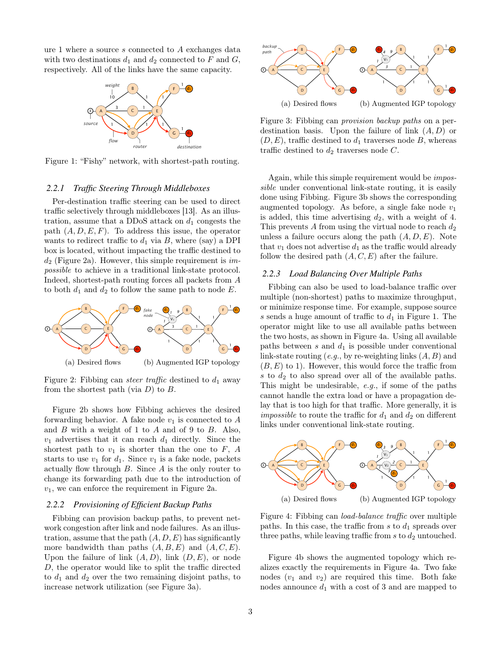ure 1 where a source s connected to A exchanges data with two destinations  $d_1$  and  $d_2$  connected to F and G, respectively. All of the links have the same capacity.



Figure 1: "Fishy" network, with shortest-path routing.

#### *2.2.1 Traffic Steering Through Middleboxes*

Per-destination traffic steering can be used to direct traffic selectively through middleboxes [13]. As an illustration, assume that a DDoS attack on  $d_1$  congests the path  $(A, D, E, F)$ . To address this issue, the operator wants to redirect traffic to  $d_1$  via B, where (say) a DPI box is located, without impacting the traffic destined to  $d_2$  (Figure 2a). However, this simple requirement is impossible to achieve in a traditional link-state protocol. Indeed, shortest-path routing forces all packets from A to both  $d_1$  and  $d_2$  to follow the same path to node E.



Figure 2: Fibbing can steer traffic destined to  $d_1$  away from the shortest path (via  $D$ ) to  $B$ .

Figure 2b shows how Fibbing achieves the desired forwarding behavior. A fake node  $v_1$  is connected to A and  $B$  with a weight of 1 to  $A$  and of 9 to  $B$ . Also,  $v_1$  advertises that it can reach  $d_1$  directly. Since the shortest path to  $v_1$  is shorter than the one to  $F$ ,  $A$ starts to use  $v_1$  for  $d_1$ . Since  $v_1$  is a fake node, packets actually flow through  $B$ . Since  $A$  is the only router to change its forwarding path due to the introduction of  $v_1$ , we can enforce the requirement in Figure 2a.

#### *2.2.2 Provisioning of Efficient Backup Paths*

Fibbing can provision backup paths, to prevent network congestion after link and node failures. As an illustration, assume that the path  $(A, D, E)$  has significantly more bandwidth than paths  $(A, B, E)$  and  $(A, C, E)$ . Upon the failure of link  $(A, D)$ , link  $(D, E)$ , or node D, the operator would like to split the traffic directed to  $d_1$  and  $d_2$  over the two remaining disjoint paths, to increase network utilization (see Figure 3a).



Figure 3: Fibbing can provision backup paths on a perdestination basis. Upon the failure of link  $(A, D)$  or  $(D, E)$ , traffic destined to  $d_1$  traverses node B, whereas traffic destined to  $d_2$  traverses node C.

Again, while this simple requirement would be impossible under conventional link-state routing, it is easily done using Fibbing. Figure 3b shows the corresponding augmented topology. As before, a single fake node  $v_1$ is added, this time advertising  $d_2$ , with a weight of 4. This prevents A from using the virtual node to reach  $d_2$ unless a failure occurs along the path  $(A, D, E)$ . Note that  $v_1$  does not advertise  $d_1$  as the traffic would already follow the desired path  $(A, C, E)$  after the failure.

#### *2.2.3 Load Balancing Over Multiple Paths*

Fibbing can also be used to load-balance traffic over multiple (non-shortest) paths to maximize throughput, or minimize response time. For example, suppose source s sends a huge amount of traffic to  $d_1$  in Figure 1. The operator might like to use all available paths between the two hosts, as shown in Figure 4a. Using all available paths between s and  $d_1$  is possible under conventional link-state routing (e.g., by re-weighting links  $(A, B)$  and  $(B, E)$  to 1). However, this would force the traffic from s to  $d_2$  to also spread over all of the available paths. This might be undesirable, e.g., if some of the paths cannot handle the extra load or have a propagation delay that is too high for that traffic. More generally, it is impossible to route the traffic for  $d_1$  and  $d_2$  on different links under conventional link-state routing.



Figure 4: Fibbing can load-balance traffic over multiple paths. In this case, the traffic from s to  $d_1$  spreads over three paths, while leaving traffic from  $s$  to  $d_2$  untouched.

Figure 4b shows the augmented topology which realizes exactly the requirements in Figure 4a. Two fake nodes  $(v_1$  and  $v_2)$  are required this time. Both fake nodes announce  $d_1$  with a cost of 3 and are mapped to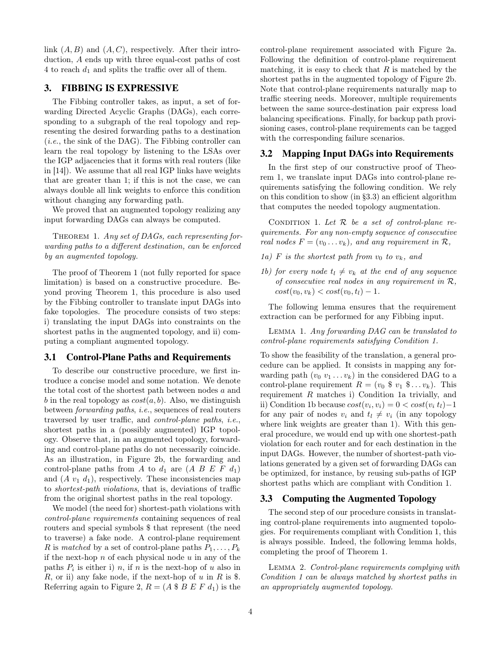link  $(A, B)$  and  $(A, C)$ , respectively. After their introduction, A ends up with three equal-cost paths of cost 4 to reach  $d_1$  and splits the traffic over all of them.

# 3. FIBBING IS EXPRESSIVE

The Fibbing controller takes, as input, a set of forwarding Directed Acyclic Graphs (DAGs), each corresponding to a subgraph of the real topology and representing the desired forwarding paths to a destination  $(i.e., the sink of the DAG)$ . The Fibbing controller can learn the real topology by listening to the LSAs over the IGP adjacencies that it forms with real routers (like in [14]). We assume that all real IGP links have weights that are greater than 1; if this is not the case, we can always double all link weights to enforce this condition without changing any forwarding path.

We proved that an augmented topology realizing any input forwarding DAGs can always be computed.

THEOREM 1. Any set of DAGs, each representing forwarding paths to a different destination, can be enforced by an augmented topology.

The proof of Theorem 1 (not fully reported for space limitation) is based on a constructive procedure. Beyond proving Theorem 1, this procedure is also used by the Fibbing controller to translate input DAGs into fake topologies. The procedure consists of two steps: i) translating the input DAGs into constraints on the shortest paths in the augmented topology, and ii) computing a compliant augmented topology.

## 3.1 Control-Plane Paths and Requirements

To describe our constructive procedure, we first introduce a concise model and some notation. We denote the total cost of the shortest path between nodes a and b in the real topology as  $cost(a, b)$ . Also, we distinguish between forwarding paths, i.e., sequences of real routers traversed by user traffic, and control-plane paths, i.e., shortest paths in a (possibly augmented) IGP topology. Observe that, in an augmented topology, forwarding and control-plane paths do not necessarily coincide. As an illustration, in Figure 2b, the forwarding and control-plane paths from A to  $d_1$  are  $(A \ B \ E \ F \ d_1)$ and  $(A \, v_1 \, d_1)$ , respectively. These inconsistencies map to shortest-path violations, that is, deviations of traffic from the original shortest paths in the real topology.

We model (the need for) shortest-path violations with control-plane requirements containing sequences of real routers and special symbols \$ that represent (the need to traverse) a fake node. A control-plane requirement R is matched by a set of control-plane paths  $P_1, \ldots, P_k$ if the next-hop  $n$  of each physical node  $u$  in any of the paths  $P_i$  is either i)  $n$ , if  $n$  is the next-hop of  $u$  also in R, or ii) any fake node, if the next-hop of u in R is  $\$ . Referring again to Figure 2,  $R = (A \$  B E F d\_1) is the control-plane requirement associated with Figure 2a. Following the definition of control-plane requirement matching, it is easy to check that  $R$  is matched by the shortest paths in the augmented topology of Figure 2b. Note that control-plane requirements naturally map to traffic steering needs. Moreover, multiple requirements between the same source-destination pair express load balancing specifications. Finally, for backup path provisioning cases, control-plane requirements can be tagged with the corresponding failure scenarios.

## 3.2 Mapping Input DAGs into Requirements

In the first step of our constructive proof of Theorem 1, we translate input DAGs into control-plane requirements satisfying the following condition. We rely on this condition to show (in §3.3) an efficient algorithm that computes the needed topology augmentation.

CONDITION 1. Let  $R$  be a set of control-plane requirements. For any non-empty sequence of consecutive real nodes  $F = (v_0 \dots v_k)$ , and any requirement in  $\mathcal{R}$ ,

- 1a) F is the shortest path from  $v_0$  to  $v_k$ , and
- 1b) for every node  $t_l \neq v_k$  at the end of any sequence of consecutive real nodes in any requirement in  $\mathcal{R},$  $cost(v_0, v_k) < cost(v_0, t_l) - 1.$

The following lemma ensures that the requirement extraction can be performed for any Fibbing input.

Lemma 1. Any forwarding DAG can be translated to control-plane requirements satisfying Condition 1.

To show the feasibility of the translation, a general procedure can be applied. It consists in mapping any forwarding path  $(v_0 v_1 \ldots v_k)$  in the considered DAG to a control-plane requirement  $R = (v_0 \, \$ \, v_1 \, \$ \dots v_k)$ . This requirement R matches i) Condition 1a trivially, and ii) Condition 1b because  $cost(v_i, v_i) = 0 < cost(v_i, t_l) - 1$ for any pair of nodes  $v_i$  and  $t_l \neq v_i$  (in any topology where link weights are greater than 1). With this general procedure, we would end up with one shortest-path violation for each router and for each destination in the input DAGs. However, the number of shortest-path violations generated by a given set of forwarding DAGs can be optimized, for instance, by reusing sub-paths of IGP shortest paths which are compliant with Condition 1.

#### 3.3 Computing the Augmented Topology

The second step of our procedure consists in translating control-plane requirements into augmented topologies. For requirements compliant with Condition 1, this is always possible. Indeed, the following lemma holds, completing the proof of Theorem 1.

Lemma 2. Control-plane requirements complying with Condition 1 can be always matched by shortest paths in an appropriately augmented topology.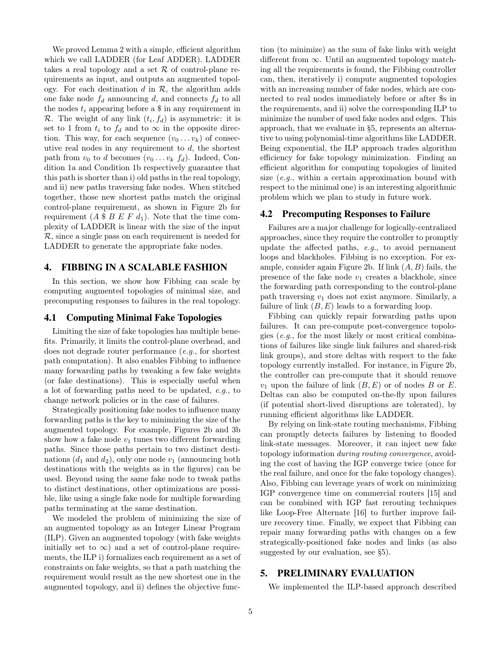We proved Lemma 2 with a simple, efficient algorithm which we call LADDER (for Leaf ADDER). LADDER takes a real topology and a set  $R$  of control-plane requirements as input, and outputs an augmented topology. For each destination  $d$  in  $R$ , the algorithm adds one fake node  $f_d$  announcing d, and connects  $f_d$  to all the nodes  $t_i$  appearing before a \$ in any requirement in R. The weight of any link  $(t_i, f_d)$  is asymmetric: it is set to 1 from  $t_i$  to  $f_d$  and to  $\infty$  in the opposite direction. This way, for each sequence  $(v_0 \dots v_k)$  of consecutive real nodes in any requirement to  $d$ , the shortest path from  $v_0$  to d becomes  $(v_0 \ldots v_k f_d)$ . Indeed, Condition 1a and Condition 1b respectively guarantee that this path is shorter than i) old paths in the real topology, and ii) new paths traversing fake nodes. When stitched together, those new shortest paths match the original control-plane requirement, as shown in Figure 2b for requirement  $(A \$   $B \ E \ F \ d_1)$ . Note that the time complexity of LADDER is linear with the size of the input R, since a single pass on each requirement is needed for LADDER to generate the appropriate fake nodes.

## 4. FIBBING IN A SCALABLE FASHION

In this section, we show how Fibbing can scale by computing augmented topologies of minimal size, and precomputing responses to failures in the real topology.

## 4.1 Computing Minimal Fake Topologies

Limiting the size of fake topologies has multiple benefits. Primarily, it limits the control-plane overhead, and does not degrade router performance (e.g., for shortest path computation). It also enables Fibbing to influence many forwarding paths by tweaking a few fake weights (or fake destinations). This is especially useful when a lot of forwarding paths need to be updated, e.g., to change network policies or in the case of failures.

Strategically positioning fake nodes to influence many forwarding paths is the key to minimizing the size of the augmented topology. For example, Figures 2b and 3b show how a fake node  $v_1$  tunes two different forwarding paths. Since those paths pertain to two distinct destinations  $(d_1 \text{ and } d_2)$ , only one node  $v_1$  (announcing both destinations with the weights as in the figures) can be used. Beyond using the same fake node to tweak paths to distinct destinations, other optimizations are possible, like using a single fake node for multiple forwarding paths terminating at the same destination.

We modeled the problem of minimizing the size of an augmented topology as an Integer Linear Program (ILP). Given an augmented topology (with fake weights initially set to  $\infty$ ) and a set of control-plane requirements, the ILP i) formalizes each requirement as a set of constraints on fake weights, so that a path matching the requirement would result as the new shortest one in the augmented topology, and ii) defines the objective function (to minimize) as the sum of fake links with weight different from  $\infty$ . Until an augmented topology matching all the requirements is found, the Fibbing controller can, then, iteratively i) compute augmented topologies with an increasing number of fake nodes, which are connected to real nodes immediately before or after \$s in the requirements, and ii) solve the corresponding ILP to minimize the number of used fake nodes and edges. This approach, that we evaluate in §5, represents an alternative to using polynomial-time algorithms like LADDER. Being exponential, the ILP approach trades algorithm efficiency for fake topology minimization. Finding an efficient algorithm for computing topologies of limited size  $(e,q,$ , within a certain approximation bound with respect to the minimal one) is an interesting algorithmic problem which we plan to study in future work.

#### 4.2 Precomputing Responses to Failure

Failures are a major challenge for logically-centralized approaches, since they require the controller to promptly update the affected paths, e.g., to avoid permanent loops and blackholes. Fibbing is no exception. For example, consider again Figure 2b. If link  $(A, B)$  fails, the presence of the fake node  $v_1$  creates a blackhole, since the forwarding path corresponding to the control-plane path traversing  $v_1$  does not exist anymore. Similarly, a failure of link  $(B, E)$  leads to a forwarding loop.

Fibbing can quickly repair forwarding paths upon failures. It can pre-compute post-convergence topologies (e.g., for the most likely or most critical combinations of failures like single link failures and shared-risk link groups), and store deltas with respect to the fake topology currently installed. For instance, in Figure 2b, the controller can pre-compute that it should remove  $v_1$  upon the failure of link  $(B, E)$  or of nodes B or E. Deltas can also be computed on-the-fly upon failures (if potential short-lived disruptions are tolerated), by running efficient algorithms like LADDER.

By relying on link-state routing mechanisms, Fibbing can promptly detects failures by listening to flooded link-state messages. Moreover, it can inject new fake topology information during routing convergence, avoiding the cost of having the IGP converge twice (once for the real failure, and once for the fake topology changes). Also, Fibbing can leverage years of work on minimizing IGP convergence time on commercial routers [15] and can be combined with IGP fast rerouting techniques like Loop-Free Alternate [16] to further improve failure recovery time. Finally, we expect that Fibbing can repair many forwarding paths with changes on a few strategically-positioned fake nodes and links (as also suggested by our evaluation, see §5).

#### 5. PRELIMINARY EVALUATION

We implemented the ILP-based approach described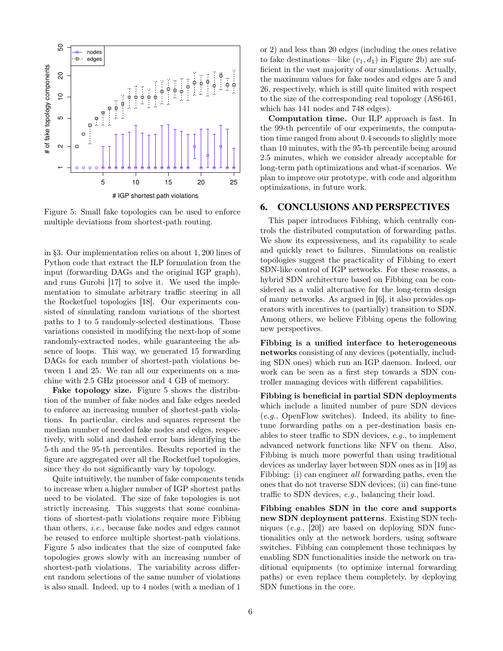

Figure 5: Small fake topologies can be used to enforce multiple deviations from shortest-path routing.

in §3. Our implementation relies on about 1, 200 lines of Python code that extract the ILP formulation from the input (forwarding DAGs and the original IGP graph), and runs Gurobi [17] to solve it. We used the implementation to simulate arbitrary traffic steering in all the Rocketfuel topologies [18]. Our experiments consisted of simulating random variations of the shortest paths to 1 to 5 randomly-selected destinations. Those variations consisted in modifying the next-hop of some randomly-extracted nodes, while guaranteeing the absence of loops. This way, we generated 15 forwarding DAGs for each number of shortest-path violations between 1 and 25. We ran all our experiments on a machine with 2.5 GHz processor and 4 GB of memory.

Fake topology size. Figure 5 shows the distribution of the number of fake nodes and fake edges needed to enforce an increasing number of shortest-path violations. In particular, circles and squares represent the median number of needed fake nodes and edges, respectively, with solid and dashed error bars identifying the 5-th and the 95-th percentiles. Results reported in the figure are aggregated over all the Rocketfuel topologies, since they do not significantly vary by topology.

Quite intuitively, the number of fake components tends to increase when a higher number of IGP shortest paths need to be violated. The size of fake topologies is not strictly increasing. This suggests that some combinations of shortest-path violations require more Fibbing than others, i.e., because fake nodes and edges cannot be reused to enforce multiple shortest-path violations. Figure 5 also indicates that the size of computed fake topologies grows slowly with an increasing number of shortest-path violations. The variability across different random selections of the same number of violations is also small. Indeed, up to 4 nodes (with a median of 1

or 2) and less than 20 edges (including the ones relative to fake destinations—like  $(v_1, d_1)$  in Figure 2b) are sufficient in the vast majority of our simulations. Actually, the maximum values for fake nodes and edges are 5 and 26, respectively, which is still quite limited with respect to the size of the corresponding real topology (AS6461, which has 141 nodes and 748 edges).

Computation time. Our ILP approach is fast. In the 99-th percentile of our experiments, the computation time ranged from about 0.4 seconds to slightly more than 10 minutes, with the 95-th percentile being around 2.5 minutes, which we consider already acceptable for long-term path optimizations and what-if scenarios. We plan to improve our prototype, with code and algorithm optimizations, in future work.

#### 6. CONCLUSIONS AND PERSPECTIVES

This paper introduces Fibbing, which centrally controls the distributed computation of forwarding paths. We show its expressiveness, and its capability to scale and quickly react to failures. Simulations on realistic topologies suggest the practicality of Fibbing to exert SDN-like control of IGP networks. For these reasons, a hybrid SDN architecture based on Fibbing can be considered as a valid alternative for the long-term design of many networks. As argued in [6], it also provides operators with incentives to (partially) transition to SDN. Among others, we believe Fibbing opens the following new perspectives.

Fibbing is a unified interface to heterogeneous networks consisting of any devices (potentially, including SDN ones) which run an IGP daemon. Indeed, our work can be seen as a first step towards a SDN controller managing devices with different capabilities.

Fibbing is beneficial in partial SDN deployments which include a limited number of pure SDN devices (e.g., OpenFlow switches). Indeed, its ability to finetune forwarding paths on a per-destination basis enables to steer traffic to SDN devices, e.g., to implement advanced network functions like NFV on them. Also, Fibbing is much more powerful than using traditional devices as underlay layer between SDN ones as in [19] as Fibbing: (i) can engineer all forwarding paths, even the ones that do not traverse SDN devices; (ii) can fine-tune traffic to SDN devices, e.g., balancing their load.

Fibbing enables SDN in the core and supports new SDN deployment patterns. Existing SDN techniques  $(e.g., [20])$  are based on deploying SDN functionalities only at the network borders, using software switches. Fibbing can complement those techniques by enabling SDN functionalities inside the network on traditional equipments (to optimize internal forwarding paths) or even replace them completely, by deploying SDN functions in the core.